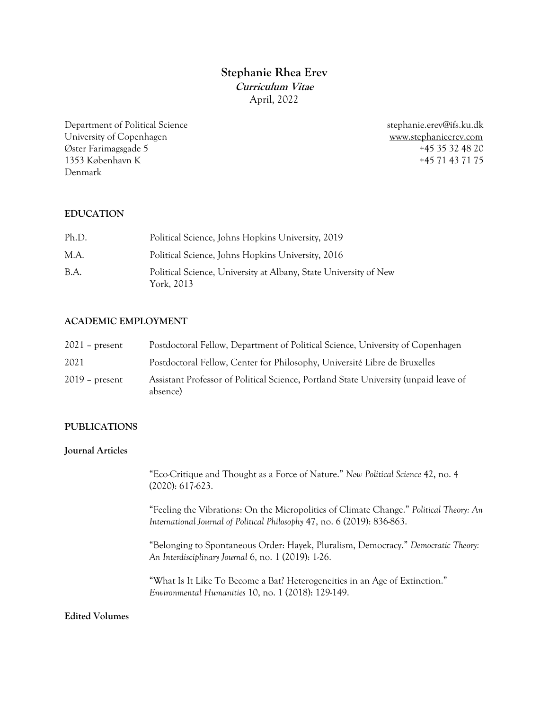# **Stephanie Rhea Erev Curriculum Vitae** April, 2022

Department of Political Science stephanie.erev@ifs.ku.dk University of Copenhagen www.stephanieerev.com Øster Farimagsgade 5 +45 35 32 48 20 1353 København K +45 71 43 71 75 Denmark

## **EDUCATION**

| Ph.D. | Political Science, Johns Hopkins University, 2019                              |
|-------|--------------------------------------------------------------------------------|
| M.A.  | Political Science, Johns Hopkins University, 2016                              |
| B.A.  | Political Science, University at Albany, State University of New<br>York, 2013 |

## **ACADEMIC EMPLOYMENT**

| $2021$ – present | Postdoctoral Fellow, Department of Political Science, University of Copenhagen                   |
|------------------|--------------------------------------------------------------------------------------------------|
| 2021             | Postdoctoral Fellow, Center for Philosophy, Université Libre de Bruxelles                        |
| $2019$ – present | Assistant Professor of Political Science, Portland State University (unpaid leave of<br>absence) |

## **PUBLICATIONS**

## **Journal Articles**

"Eco-Critique and Thought as a Force of Nature." *New Political Science* 42, no. 4 (2020): 617-623.

"Feeling the Vibrations: On the Micropolitics of Climate Change." *Political Theory: An International Journal of Political Philosophy* 47, no. 6 (2019): 836-863.

"Belonging to Spontaneous Order: Hayek, Pluralism, Democracy." *Democratic Theory: An Interdisciplinary Journal* 6, no. 1 (2019): 1-26.

"What Is It Like To Become a Bat? Heterogeneities in an Age of Extinction." *Environmental Humanities* 10, no. 1 (2018): 129-149.

## **Edited Volumes**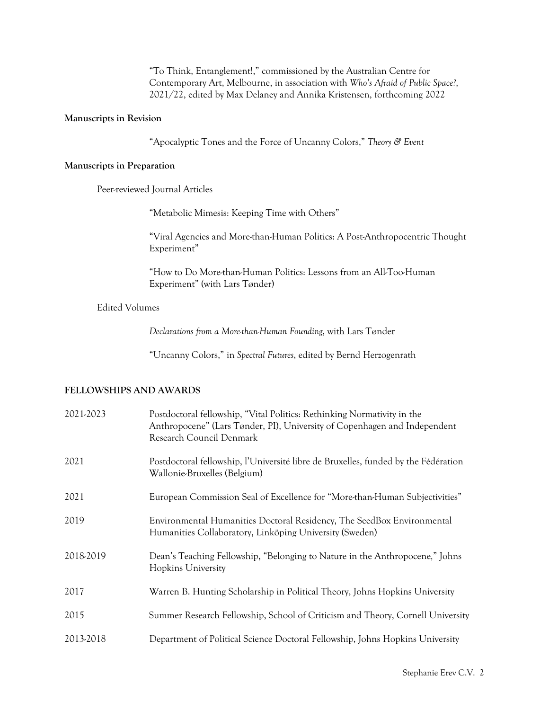"To Think, Entanglement!," commissioned by the Australian Centre for Contemporary Art, Melbourne, in association with *Who's Afraid of Public Space?*, 2021/22, edited by Max Delaney and Annika Kristensen, forthcoming 2022

### **Manuscripts in Revision**

"Apocalyptic Tones and the Force of Uncanny Colors," *Theory & Event*

#### **Manuscripts in Preparation**

Peer-reviewed Journal Articles

"Metabolic Mimesis: Keeping Time with Others"

"Viral Agencies and More-than-Human Politics: A Post-Anthropocentric Thought Experiment"

"How to Do More-than-Human Politics: Lessons from an All-Too-Human Experiment" (with Lars Tønder)

## Edited Volumes

*Declarations from a More-than-Human Founding*, with Lars Tønder

"Uncanny Colors," in *Spectral Futures*, edited by Bernd Herzogenrath

## **FELLOWSHIPS AND AWARDS**

| 2021-2023 | Postdoctoral fellowship, "Vital Politics: Rethinking Normativity in the<br>Anthropocene" (Lars Tønder, PI), University of Copenhagen and Independent<br>Research Council Denmark |
|-----------|----------------------------------------------------------------------------------------------------------------------------------------------------------------------------------|
| 2021      | Postdoctoral fellowship, l'Université libre de Bruxelles, funded by the Fédération<br>Wallonie-Bruxelles (Belgium)                                                               |
| 2021      | European Commission Seal of Excellence for "More-than-Human Subjectivities"                                                                                                      |
| 2019      | Environmental Humanities Doctoral Residency, The SeedBox Environmental<br>Humanities Collaboratory, Linköping University (Sweden)                                                |
| 2018-2019 | Dean's Teaching Fellowship, "Belonging to Nature in the Anthropocene," Johns<br><b>Hopkins University</b>                                                                        |
| 2017      | Warren B. Hunting Scholarship in Political Theory, Johns Hopkins University                                                                                                      |
| 2015      | Summer Research Fellowship, School of Criticism and Theory, Cornell University                                                                                                   |
| 2013-2018 | Department of Political Science Doctoral Fellowship, Johns Hopkins University                                                                                                    |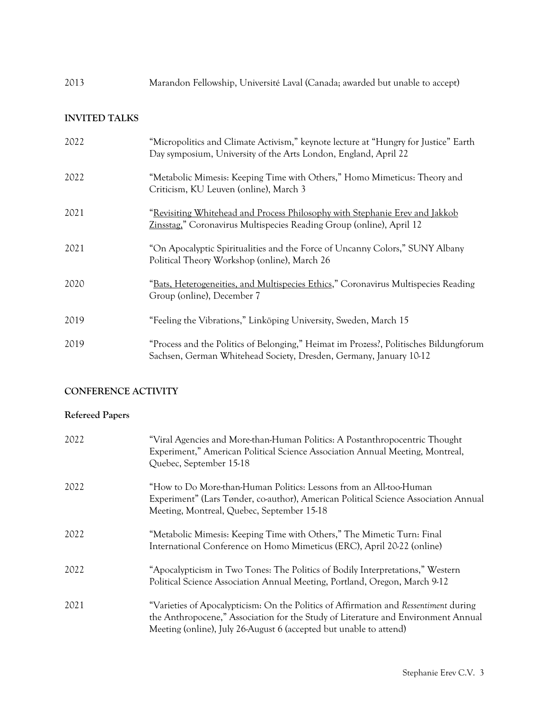| 2013 |  |  | Marandon Fellowship, Université Laval (Canada; awarded but unable to accept) |  |
|------|--|--|------------------------------------------------------------------------------|--|
|------|--|--|------------------------------------------------------------------------------|--|

## **INVITED TALKS**

| 2022 | "Micropolitics and Climate Activism," keynote lecture at "Hungry for Justice" Earth<br>Day symposium, University of the Arts London, England, April 22      |
|------|-------------------------------------------------------------------------------------------------------------------------------------------------------------|
| 2022 | "Metabolic Mimesis: Keeping Time with Others," Homo Mimeticus: Theory and<br>Criticism, KU Leuven (online), March 3                                         |
| 2021 | "Revisiting Whitehead and Process Philosophy with Stephanie Erev and Jakkob<br>Zinsstag," Coronavirus Multispecies Reading Group (online), April 12         |
| 2021 | "On Apocalyptic Spiritualities and the Force of Uncanny Colors," SUNY Albany<br>Political Theory Workshop (online), March 26                                |
| 2020 | "Bats, Heterogeneities, and Multispecies Ethics," Coronavirus Multispecies Reading<br>Group (online), December 7                                            |
| 2019 | "Feeling the Vibrations," Linköping University, Sweden, March 15                                                                                            |
| 2019 | "Process and the Politics of Belonging," Heimat im Prozess?, Politisches Bildungforum<br>Sachsen, German Whitehead Society, Dresden, Germany, January 10-12 |

# **CONFERENCE ACTIVITY**

## **Refereed Papers**

| 2022 | "Viral Agencies and More-than-Human Politics: A Postanthropocentric Thought<br>Experiment," American Political Science Association Annual Meeting, Montreal,<br>Quebec, September 15-18                                                         |
|------|-------------------------------------------------------------------------------------------------------------------------------------------------------------------------------------------------------------------------------------------------|
| 2022 | "How to Do More-than-Human Politics: Lessons from an All-too-Human<br>Experiment" (Lars Tønder, co-author), American Political Science Association Annual<br>Meeting, Montreal, Quebec, September 15-18                                         |
| 2022 | "Metabolic Mimesis: Keeping Time with Others," The Mimetic Turn: Final<br>International Conference on Homo Mimeticus (ERC), April 20-22 (online)                                                                                                |
| 2022 | "Apocalypticism in Two Tones: The Politics of Bodily Interpretations," Western<br>Political Science Association Annual Meeting, Portland, Oregon, March 9-12                                                                                    |
| 2021 | "Varieties of Apocalypticism: On the Politics of Affirmation and Ressentiment during<br>the Anthropocene," Association for the Study of Literature and Environment Annual<br>Meeting (online), July 26-August 6 (accepted but unable to attend) |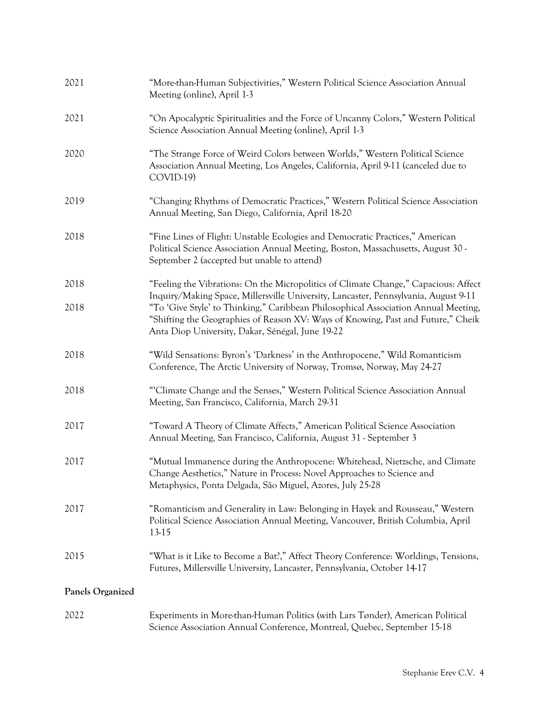| 2021             | "More-than-Human Subjectivities," Western Political Science Association Annual<br>Meeting (online), April 1-3                                                                                                                                                                                                     |
|------------------|-------------------------------------------------------------------------------------------------------------------------------------------------------------------------------------------------------------------------------------------------------------------------------------------------------------------|
| 2021             | "On Apocalyptic Spiritualities and the Force of Uncanny Colors," Western Political<br>Science Association Annual Meeting (online), April 1-3                                                                                                                                                                      |
| 2020             | "The Strange Force of Weird Colors between Worlds," Western Political Science<br>Association Annual Meeting, Los Angeles, California, April 9-11 (canceled due to<br>COVID-19)                                                                                                                                    |
| 2019             | "Changing Rhythms of Democratic Practices," Western Political Science Association<br>Annual Meeting, San Diego, California, April 18-20                                                                                                                                                                           |
| 2018             | "Fine Lines of Flight: Unstable Ecologies and Democratic Practices," American<br>Political Science Association Annual Meeting, Boston, Massachusetts, August 30 -<br>September 2 (accepted but unable to attend)                                                                                                  |
| 2018             | "Feeling the Vibrations: On the Micropolitics of Climate Change," Capacious: Affect                                                                                                                                                                                                                               |
| 2018             | Inquiry/Making Space, Millersville University, Lancaster, Pennsylvania, August 9-11<br>"To 'Give Style' to Thinking," Caribbean Philosophical Association Annual Meeting,<br>"Shifting the Geographies of Reason XV: Ways of Knowing, Past and Future," Cheik<br>Anta Diop University, Dakar, Sénégal, June 19-22 |
| 2018             | "Wild Sensations: Byron's 'Darkness' in the Anthropocene," Wild Romanticism<br>Conference, The Arctic University of Norway, Tromsø, Norway, May 24-27                                                                                                                                                             |
| 2018             | "Climate Change and the Senses," Western Political Science Association Annual<br>Meeting, San Francisco, California, March 29-31                                                                                                                                                                                  |
| 2017             | "Toward A Theory of Climate Affects," American Political Science Association<br>Annual Meeting, San Francisco, California, August 31 - September 3                                                                                                                                                                |
| 2017             | "Mutual Immanence during the Anthropocene: Whitehead, Nietzsche, and Climate<br>Change Aesthetics," Nature in Process: Novel Approaches to Science and<br>Metaphysics, Ponta Delgada, São Miguel, Azores, July 25-28                                                                                              |
| 2017             | "Romanticism and Generality in Law: Belonging in Hayek and Rousseau," Western<br>Political Science Association Annual Meeting, Vancouver, British Columbia, April<br>13-15                                                                                                                                        |
| 2015             | "What is it Like to Become a Bat?," Affect Theory Conference: Worldings, Tensions,<br>Futures, Millersville University, Lancaster, Pennsylvania, October 14-17                                                                                                                                                    |
| Panels Organized |                                                                                                                                                                                                                                                                                                                   |
| 2022             | Experiments in More-than-Human Politics (with Lars Tønder), American Political<br>Science Association Annual Conference, Montreal, Quebec, September 15-18                                                                                                                                                        |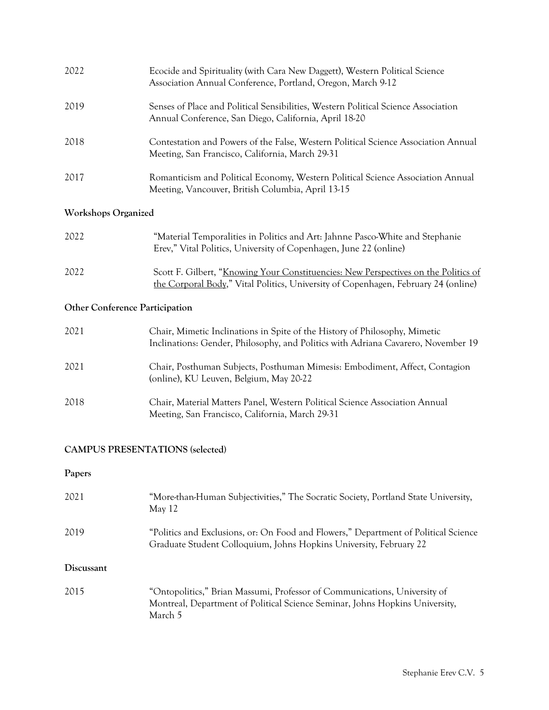| 2022 | Ecocide and Spirituality (with Cara New Daggett), Western Political Science<br>Association Annual Conference, Portland, Oregon, March 9-12  |
|------|---------------------------------------------------------------------------------------------------------------------------------------------|
| 2019 | Senses of Place and Political Sensibilities, Western Political Science Association<br>Annual Conference, San Diego, California, April 18-20 |
| 2018 | Contestation and Powers of the False, Western Political Science Association Annual<br>Meeting, San Francisco, California, March 29-31       |
| 2017 | Romanticism and Political Economy, Western Political Science Association Annual<br>Meeting, Vancouver, British Columbia, April 13-15        |

## **Workshops Organized**

| 2022 | "Material Temporalities in Politics and Art: Jahnne Pasco-White and Stephanie<br>Erev," Vital Politics, University of Copenhagen, June 22 (online)                        |
|------|---------------------------------------------------------------------------------------------------------------------------------------------------------------------------|
| 2022 | Scott F. Gilbert, "Knowing Your Constituencies: New Perspectives on the Politics of<br>the Corporal Body," Vital Politics, University of Copenhagen, February 24 (online) |

# **Other Conference Participation**

| 2021 | Chair, Mimetic Inclinations in Spite of the History of Philosophy, Mimetic<br>Inclinations: Gender, Philosophy, and Politics with Adriana Cavarero, November 19 |
|------|-----------------------------------------------------------------------------------------------------------------------------------------------------------------|
| 2021 | Chair, Posthuman Subjects, Posthuman Mimesis: Embodiment, Affect, Contagion<br>(online), KU Leuven, Belgium, May 20-22                                          |
| 2018 | Chair, Material Matters Panel, Western Political Science Association Annual<br>Meeting, San Francisco, California, March 29-31                                  |

## **CAMPUS PRESENTATIONS (selected)**

## **Papers**

| 2021       | "More-than-Human Subjectivities," The Socratic Society, Portland State University,<br>May $12$                                                                       |
|------------|----------------------------------------------------------------------------------------------------------------------------------------------------------------------|
| 2019       | "Politics and Exclusions, or: On Food and Flowers," Department of Political Science<br>Graduate Student Colloquium, Johns Hopkins University, February 22            |
| Discussant |                                                                                                                                                                      |
| 2015       | "Ontopolitics," Brian Massumi, Professor of Communications, University of<br>Montreal, Department of Political Science Seminar, Johns Hopkins University,<br>March 5 |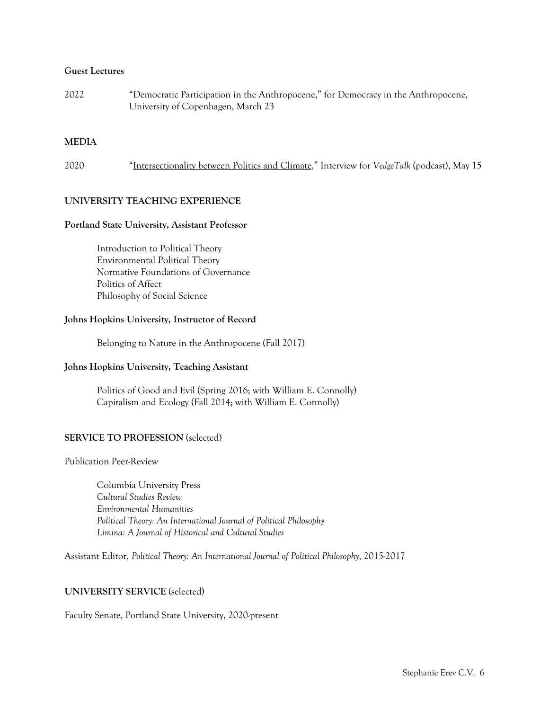### **Guest Lectures**

2022 "Democratic Participation in the Anthropocene," for Democracy in the Anthropocene, University of Copenhagen, March 23

### **MEDIA**

| 2020 | "Intersectionality between Politics and Climate," Interview for VedgeTalk (podcast), May 15 |  |
|------|---------------------------------------------------------------------------------------------|--|
|------|---------------------------------------------------------------------------------------------|--|

## **UNIVERSITY TEACHING EXPERIENCE**

### **Portland State University, Assistant Professor**

Introduction to Political Theory Environmental Political Theory Normative Foundations of Governance Politics of Affect Philosophy of Social Science

### **Johns Hopkins University, Instructor of Record**

Belonging to Nature in the Anthropocene (Fall 2017)

### **Johns Hopkins University, Teaching Assistant**

Politics of Good and Evil (Spring 2016; with William E. Connolly) Capitalism and Ecology (Fall 2014; with William E. Connolly)

### **SERVICE TO PROFESSION** (selected)

Publication Peer-Review

Columbia University Press *Cultural Studies Review Environmental Humanities Political Theory: An International Journal of Political Philosophy Limina: A Journal of Historical and Cultural Studies*

Assistant Editor, *Political Theory: An International Journal of Political Philosophy*, 2015-2017

## **UNIVERSITY SERVICE** (selected)

#### Faculty Senate, Portland State University, 2020-present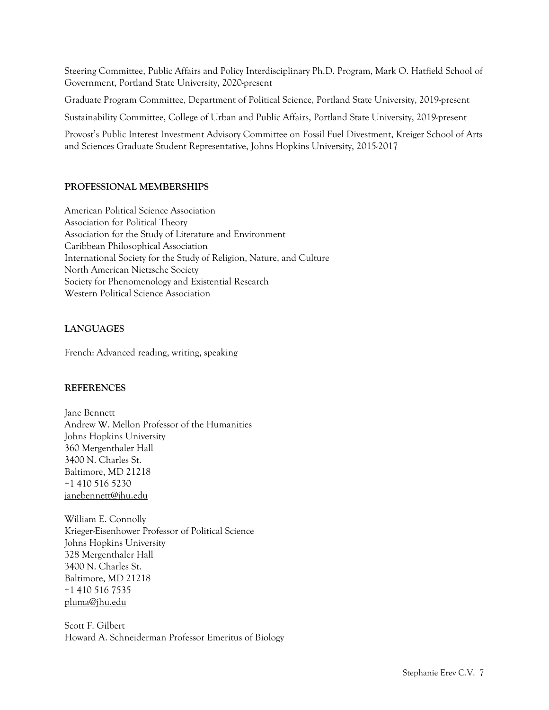Steering Committee, Public Affairs and Policy Interdisciplinary Ph.D. Program, Mark O. Hatfield School of Government, Portland State University, 2020-present

Graduate Program Committee, Department of Political Science, Portland State University, 2019-present

Sustainability Committee, College of Urban and Public Affairs, Portland State University, 2019-present

Provost's Public Interest Investment Advisory Committee on Fossil Fuel Divestment, Kreiger School of Arts and Sciences Graduate Student Representative, Johns Hopkins University, 2015-2017

## **PROFESSIONAL MEMBERSHIPS**

American Political Science Association Association for Political Theory Association for the Study of Literature and Environment Caribbean Philosophical Association International Society for the Study of Religion, Nature, and Culture North American Nietzsche Society Society for Phenomenology and Existential Research Western Political Science Association

## **LANGUAGES**

French: Advanced reading, writing, speaking

## **REFERENCES**

Jane Bennett Andrew W. Mellon Professor of the Humanities Johns Hopkins University 360 Mergenthaler Hall 3400 N. Charles St. Baltimore, MD 21218 +1 410 516 5230 janebennett@jhu.edu

William E. Connolly Krieger-Eisenhower Professor of Political Science Johns Hopkins University 328 Mergenthaler Hall 3400 N. Charles St. Baltimore, MD 21218 +1 410 516 7535 pluma@jhu.edu

Scott F. Gilbert Howard A. Schneiderman Professor Emeritus of Biology